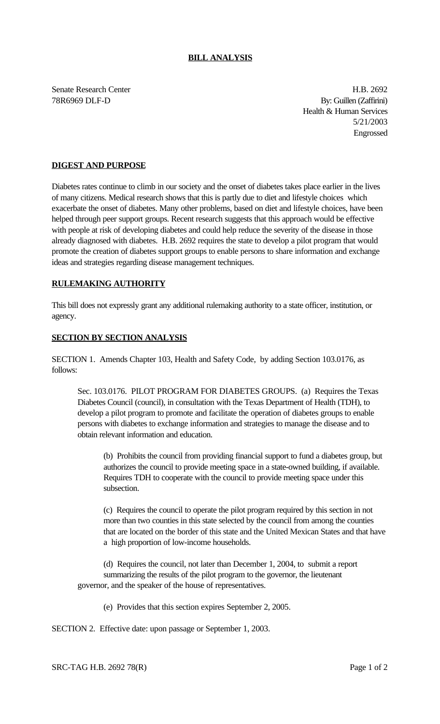## **BILL ANALYSIS**

Senate Research Center **H.B. 2692** 78R6969 DLF-D By: Guillen (Zaffirini) Health & Human Services 5/21/2003 Engrossed

## **DIGEST AND PURPOSE**

Diabetes rates continue to climb in our society and the onset of diabetes takes place earlier in the lives of many citizens. Medical research shows that this is partly due to diet and lifestyle choices which exacerbate the onset of diabetes. Many other problems, based on diet and lifestyle choices, have been helped through peer support groups. Recent research suggests that this approach would be effective with people at risk of developing diabetes and could help reduce the severity of the disease in those already diagnosed with diabetes. H.B. 2692 requires the state to develop a pilot program that would promote the creation of diabetes support groups to enable persons to share information and exchange ideas and strategies regarding disease management techniques.

## **RULEMAKING AUTHORITY**

This bill does not expressly grant any additional rulemaking authority to a state officer, institution, or agency.

## **SECTION BY SECTION ANALYSIS**

SECTION 1. Amends Chapter 103, Health and Safety Code, by adding Section 103.0176, as follows:

Sec. 103.0176. PILOT PROGRAM FOR DIABETES GROUPS. (a) Requires the Texas Diabetes Council (council), in consultation with the Texas Department of Health (TDH), to develop a pilot program to promote and facilitate the operation of diabetes groups to enable persons with diabetes to exchange information and strategies to manage the disease and to obtain relevant information and education.

(b) Prohibits the council from providing financial support to fund a diabetes group, but authorizes the council to provide meeting space in a state-owned building, if available. Requires TDH to cooperate with the council to provide meeting space under this subsection.

(c) Requires the council to operate the pilot program required by this section in not more than two counties in this state selected by the council from among the counties that are located on the border of this state and the United Mexican States and that have a high proportion of low-income households.

(d) Requires the council, not later than December 1, 2004, to submit a report summarizing the results of the pilot program to the governor, the lieutenant governor, and the speaker of the house of representatives.

(e) Provides that this section expires September 2, 2005.

SECTION 2. Effective date: upon passage or September 1, 2003.